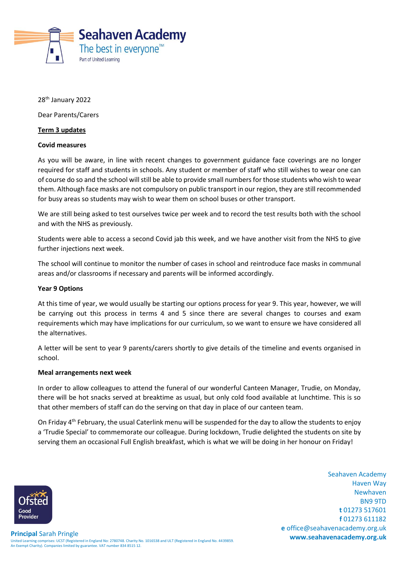

28<sup>th</sup> January 2022

Dear Parents/Carers

## **Term 3 updates**

#### **Covid measures**

As you will be aware, in line with recent changes to government guidance face coverings are no longer required for staff and students in schools. Any student or member of staff who still wishes to wear one can of course do so and the school will still be able to provide small numbers for those students who wish to wear them. Although face masks are not compulsory on public transport in our region, they are still recommended for busy areas so students may wish to wear them on school buses or other transport.

We are still being asked to test ourselves twice per week and to record the test results both with the school and with the NHS as previously.

Students were able to access a second Covid jab this week, and we have another visit from the NHS to give further injections next week.

The school will continue to monitor the number of cases in school and reintroduce face masks in communal areas and/or classrooms if necessary and parents will be informed accordingly.

## **Year 9 Options**

At this time of year, we would usually be starting our options process for year 9. This year, however, we will be carrying out this process in terms 4 and 5 since there are several changes to courses and exam requirements which may have implications for our curriculum, so we want to ensure we have considered all the alternatives.

A letter will be sent to year 9 parents/carers shortly to give details of the timeline and events organised in school.

#### **Meal arrangements next week**

In order to allow colleagues to attend the funeral of our wonderful Canteen Manager, Trudie, on Monday, there will be hot snacks served at breaktime as usual, but only cold food available at lunchtime. This is so that other members of staff can do the serving on that day in place of our canteen team.

On Friday 4th February, the usual Caterlink menu will be suspended for the day to allow the students to enjoy a 'Trudie Special' to commemorate our colleague. During lockdown, Trudie delighted the students on site by serving them an occasional Full English breakfast, which is what we will be doing in her honour on Friday!

> Seahaven Academy Haven Way Newhaven BN9 9TD **t** 01273 517601 **f** 01273 611182 **e** office@seahavenacademy.org.uk